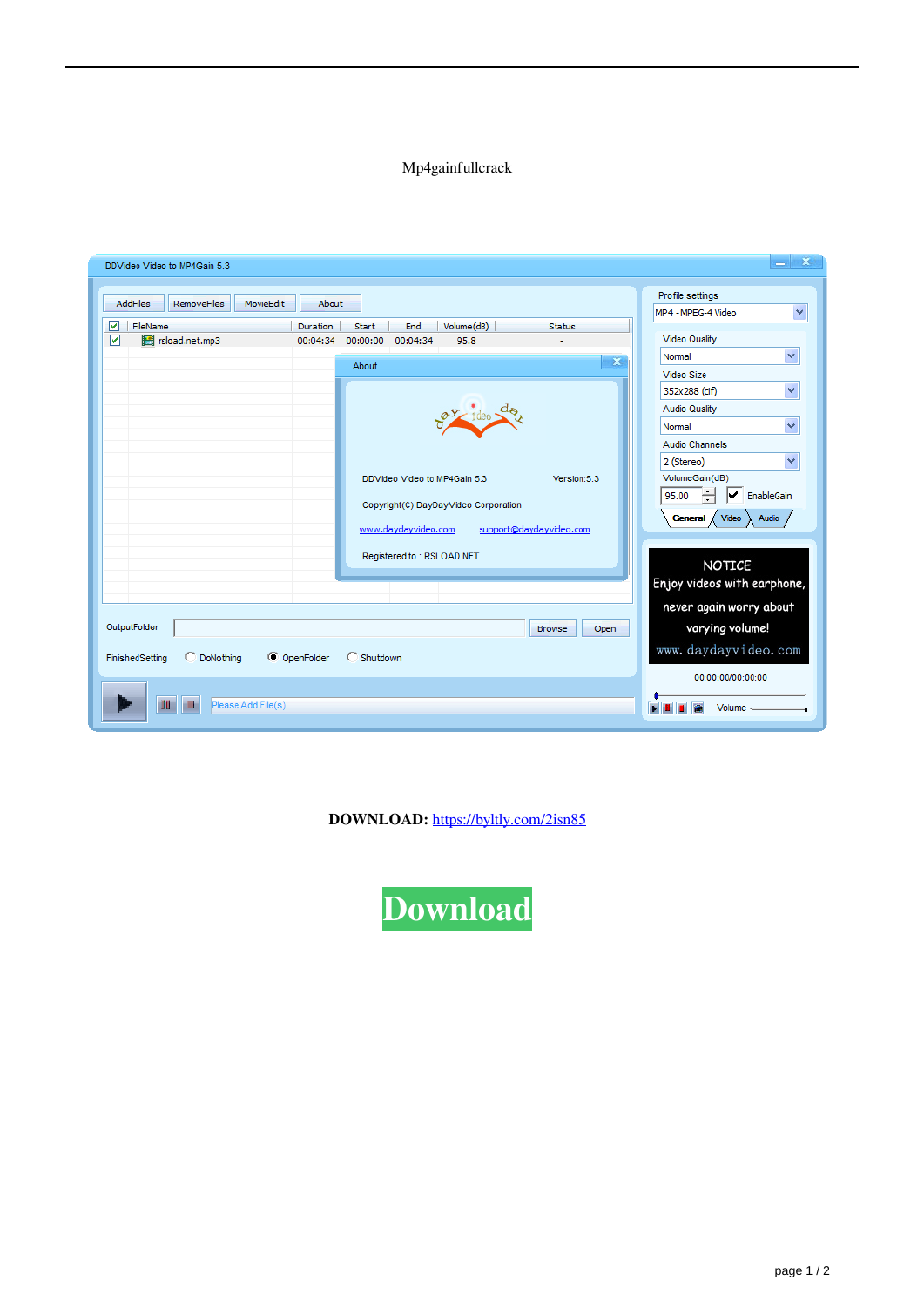## Mp4gainfullcrack

| DDVideo Video to MP4Gain 5.3                                        |                                                                                                                                                                                                           | $\mathbf x$                                                                                                                                                                                                                                 |
|---------------------------------------------------------------------|-----------------------------------------------------------------------------------------------------------------------------------------------------------------------------------------------------------|---------------------------------------------------------------------------------------------------------------------------------------------------------------------------------------------------------------------------------------------|
| <b>AddFiles</b><br><b>RemoveFiles</b><br>MovieEdit<br>☞<br>FileName | About<br>Volume(dB)<br><b>Duration</b><br>Start<br>End<br><b>Status</b>                                                                                                                                   | Profile settings<br>$\checkmark$<br>MP4 - MPEG-4 Video                                                                                                                                                                                      |
| ⊽<br>rsload.net.mp3                                                 | 00:00:00<br>00:04:34<br>95.8<br>00:04:34<br>$\mathbf x$<br>About<br>DDVideo Video to MP4Gain 5.3<br>Version:5.3<br>Copyright(C) DayDayVideo Corporation<br>support@daydayvideo.com<br>www.daydayvideo.com | <b>Video Quality</b><br>$\checkmark$<br>Normal<br>Video Size<br>Y<br>352x288 (cif)<br><b>Audio Quality</b><br>×<br>Normal<br>Audio Channels<br>Ÿ<br>2 (Stereo)<br>VolumeGain(dB)<br>✓<br>EnableGain<br>95.00<br>Video<br>General /<br>Audio |
| OutputFolder<br>DoNothing<br>FinishedSetting<br>Please Add File(s)  | Registered to: RSLOAD.NET<br><b>Browse</b><br>Open<br>C OpenFolder<br>C Shutdown                                                                                                                          | NOTICE<br>Enjoy videos with earphone,<br>never again worry about<br>varying volume!<br>www.daydayvideo.com<br>00:00:00/00:00:00<br>Volume -                                                                                                 |

**DOWNLOAD:** <https://byltly.com/2isn85>